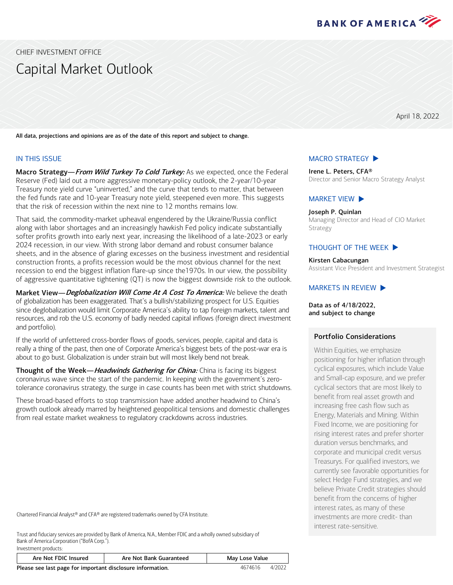

<span id="page-0-0"></span>CHIEF INVESTMENT OFFICE

# Capital Market Outlook

April 18, 2022

All data, projections and opinions are as of the date of this report and subject to change.

#### IN THIS ISSUE

Investment products:

Macro Strategy—From Wild Turkey To Cold Turkey: As we expected, once the Federal Reserve (Fed) laid out a more aggressive monetary-policy outlook, the 2-year/10-year Treasury note yield curve "uninverted," and the curve that tends to matter, that between the fed funds rate and 10-year Treasury note yield, steepened even more. This suggests that the risk of recession within the next nine to 12 months remains low.

That said, the commodity-market upheaval engendered by the Ukraine/Russia conflict along with labor shortages and an increasingly hawkish Fed policy indicate substantially softer profits growth into early next year, increasing the likelihood of a late-2023 or early 2024 recession, in our view. With strong labor demand and robust consumer balance sheets, and in the absence of glaring excesses on the business investment and residential construction fronts, a profits recession would be the most obvious channel for the next recession to end the biggest inflation flare-up since the1970s. In our view, the possibility of aggressive quantitative tightening (QT) is now the biggest downside risk to the outlook.

Market View-Deglobalization Will Come At A Cost To America: We believe the death of globalization has been exaggerated. That's a bullish/stabilizing prospect for U.S. Equities since deglobalization would limit Corporate America's ability to tap foreign markets, talent and resources, and rob the U.S. economy of badly needed capital inflows (foreign direct investment and portfolio).

If the world of unfettered cross-border flows of goods, services, people, capital and data is really a thing of the past, then one of Corporate America's biggest bets of the post-war era is about to go bust. Globalization is under strain but will most likely bend not break.

Thought of the Week—*Headwinds Gathering for China:* China is facing its biggest coronavirus wave since the start of the pandemic. In keeping with the government's zerotolerance coronavirus strategy, the surge in case counts has been met with strict shutdowns.

These broad-based efforts to stop transmission have added another headwind to China's growth outlook already marred by heightened geopolitical tensions and domestic challenges from real estate market weakness to regulatory crackdowns across industries.

Chartered Financial Analyst® and CFA® are registered trademarks owned by CFA Institute.

Trust and fiduciary services are provided by Bank of America, N.A., Member FDIC and a wholly owned subsidiary of Bank of America Corporation ("BofA Corp.").

| Are Not FDIC Insured                                                 | Are Not Bank Guaranteed | May Lose Value |  |  |
|----------------------------------------------------------------------|-------------------------|----------------|--|--|
| Dlogen son last nago for important disclosure information<br>AG71616 |                         |                |  |  |

Please see last page for important disclosure information. And the state of the 4674616 4/2022

#### [MACRO STRATEGY](#page-1-0)  $\blacktriangleright$

Irene L. Peters, CFA® Director and Senior Macro Strategy Analyst

# [MARKET VIEW](#page-3-0)  $\blacktriangleright$

Joseph P. Quinlan Managing Director and Head of CIO Market Strategy

#### THOUGHT [OF THE WEEK](#page-5-0)  $\blacktriangleright$

Kirsten Cabacungan

Assistant Vice President and Investment Strategist

#### MARKETS [IN REVIEW](#page-6-0)  $\blacktriangleright$

Data as of 4/18/2022, and subject to change

#### Portfolio Considerations

Within Equities, we emphasize positioning for higher inflation through cyclical exposures, which include Value and Small-cap exposure, and we prefer cyclical sectors that are most likely to benefit from real asset growth and increasing free cash flow such as Energy, Materials and Mining. Within Fixed Income, we are positioning for rising interest rates and prefer shorter duration versus benchmarks, and corporate and municipal credit versus Treasurys. For qualified investors, we currently see favorable opportunities for select Hedge Fund strategies, and we believe Private Credit strategies should benefit from the concerns of higher interest rates, as many of these investments are more credit- than interest rate-sensitive.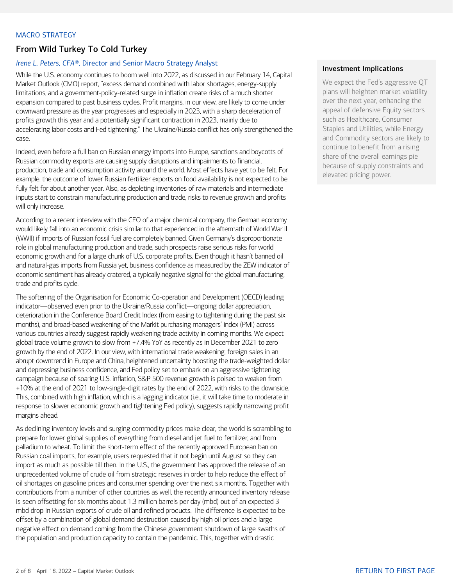### <span id="page-1-0"></span>MACRO STRATEGY

# From Wild Turkey To Cold Turkey

## *Irene L. Peters, CFA®,* Director and Senior Macro Strategy Analyst

While the U.S. economy continues to boom well into 2022, as discussed in our February 14, Capital Market Outlook (CMO) report, "excess demand combined with labor shortages, energy-supply limitations, and a government-policy-related surge in inflation create risks of a much shorter expansion compared to past business cycles. Profit margins, in our view, are likely to come under downward pressure as the year progresses and especially in 2023, with a sharp deceleration of profits growth this year and a potentially significant contraction in 2023, mainly due to accelerating labor costs and Fed tightening." The Ukraine/Russia conflict has only strengthened the case.

Indeed, even before a full ban on Russian energy imports into Europe, sanctions and boycotts of Russian commodity exports are causing supply disruptions and impairments to financial, production, trade and consumption activity around the world. Most effects have yet to be felt. For example, the outcome of lower Russian fertilizer exports on food availability is not expected to be fully felt for about another year. Also, as depleting inventories of raw materials and intermediate inputs start to constrain manufacturing production and trade, risks to revenue growth and profits will only increase.

According to a recent interview with the CEO of a major chemical company, the German economy would likely fall into an economic crisis similar to that experienced in the aftermath of World War II (WWII) if imports of Russian fossil fuel are completely banned. Given Germany's disproportionate role in global manufacturing production and trade, such prospects raise serious risks for world economic growth and for a large chunk of U.S. corporate profits. Even though it hasn't banned oil and natural-gas imports from Russia yet, business confidence as measured by the ZEW indicator of economic sentiment has already cratered, a typically negative signal for the global manufacturing, trade and profits cycle.

The softening of the Organisation for Economic Co-operation and Development (OECD) leading indicator—observed even prior to the Ukraine/Russia conflict—ongoing dollar appreciation, deterioration in the Conference Board Credit Index (from easing to tightening during the past six months), and broad-based weakening of the Markit purchasing managers' index (PMI) across various countries already suggest rapidly weakening trade activity in coming months. We expect global trade volume growth to slow from +7.4% YoY as recently as in December 2021 to zero growth by the end of 2022. In our view, with international trade weakening, foreign sales in an abrupt downtrend in Europe and China, heightened uncertainty boosting the trade-weighted dollar and depressing business confidence, and Fed policy set to embark on an aggressive tightening campaign because of soaring U.S. inflation, S&P 500 revenue growth is poised to weaken from +10% at the end of 2021 to low-single-digit rates by the end of 2022, with risks to the downside. This, combined with high inflation, which is a lagging indicator (i.e., it will take time to moderate in response to slower economic growth and tightening Fed policy), suggests rapidly narrowing profit margins ahead.

As declining inventory levels and surging commodity prices make clear, the world is scrambling to prepare for lower global supplies of everything from diesel and jet fuel to fertilizer, and from palladium to wheat. To limit the short-term effect of the recently approved European ban on Russian coal imports, for example, users requested that it not begin until August so they can import as much as possible till then. In the U.S., the government has approved the release of an unprecedented volume of crude oil from strategic reserves in order to help reduce the effect of oil shortages on gasoline prices and consumer spending over the next six months. Together with contributions from a number of other countries as well, the recently announced inventory release is seen offsetting for six months about 1.3 million barrels per day (mbd) out of an expected 3 mbd drop in Russian exports of crude oil and refined products. The difference is expected to be offset by a combination of global demand destruction caused by high oil prices and a large negative effect on demand coming from the Chinese government shutdown of large swaths of the population and production capacity to contain the pandemic. This, together with drastic

## Investment Implications

We expect the Fed's aggressive QT plans will heighten market volatility over the next year, enhancing the appeal of defensive Equity sectors such as Healthcare, Consumer Staples and Utilities, while Energy and Commodity sectors are likely to continue to benefit from a rising share of the overall earnings pie because of supply constraints and elevated pricing power.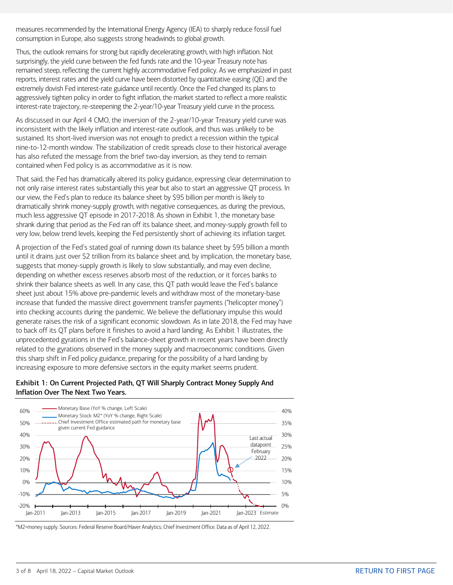measures recommended by the International Energy Agency (IEA) to sharply reduce fossil fuel consumption in Europe, also suggests strong headwinds to global growth.

Thus, the outlook remains for strong but rapidly decelerating growth, with high inflation. Not surprisingly, the yield curve between the fed funds rate and the 10-year Treasury note has remained steep, reflecting the current highly accommodative Fed policy. As we emphasized in past reports, interest rates and the yield curve have been distorted by quantitative easing (QE) and the extremely dovish Fed interest-rate guidance until recently. Once the Fed changed its plans to aggressively tighten policy in order to fight inflation, the market started to reflect a more realistic interest-rate trajectory, re-steepening the 2-year/10-year Treasury yield curve in the process.

As discussed in our April 4 CMO, the inversion of the 2-year/10-year Treasury yield curve was inconsistent with the likely inflation and interest-rate outlook, and thus was unlikely to be sustained. Its short-lived inversion was not enough to predict a recession within the typical nine-to-12-month window. The stabilization of credit spreads close to their historical average has also refuted the message from the brief two-day inversion, as they tend to remain contained when Fed policy is as accommodative as it is now.

That said, the Fed has dramatically altered its policy guidance, expressing clear determination to not only raise interest rates substantially this year but also to start an aggressive QT process. In our view, the Fed's plan to reduce its balance sheet by \$95 billion per month is likely to dramatically shrink money-supply growth, with negative consequences, as during the previous, much less aggressive QT episode in 2017-2018. As shown in Exhibit 1, the monetary base shrank during that period as the Fed ran off its balance sheet, and money-supply growth fell to very low, below trend levels, keeping the Fed persistently short of achieving its inflation target.

A projection of the Fed's stated goal of running down its balance sheet by \$95 billion a month until it drains just over \$2 trillion from its balance sheet and, by implication, the monetary base, suggests that money-supply growth is likely to slow substantially, and may even decline, depending on whether excess reserves absorb most of the reduction, or it forces banks to shrink their balance sheets as well. In any case, this QT path would leave the Fed's balance sheet just about 15% above pre-pandemic levels and withdraw most of the monetary-base increase that funded the massive direct government transfer payments ("helicopter money") into checking accounts during the pandemic. We believe the deflationary impulse this would generate raises the risk of a significant economic slowdown. As in late 2018, the Fed may have to back off its QT plans before it finishes to avoid a hard landing. As Exhibit 1 illustrates, the unprecedented gyrations in the Fed's balance-sheet growth in recent years have been directly related to the gyrations observed in the money supply and macroeconomic conditions. Given this sharp shift in Fed policy guidance, preparing for the possibility of a hard landing by increasing exposure to more defensive sectors in the equity market seems prudent.

## Exhibit 1: On Current Projected Path, QT Will Sharply Contract Money Supply And Inflation Over The Next Two Years.



\*M2=money supply. Sources: Federal Reserve Board/Haver Analytics; Chief Investment Office. Data as of April 12, 2022.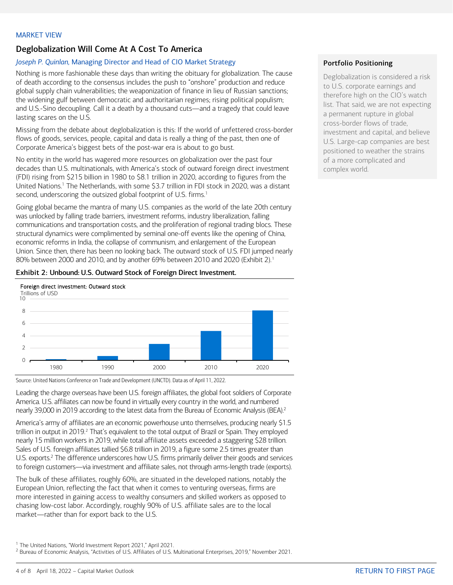# <span id="page-3-0"></span>Deglobalization Will Come At A Cost To America

## *Joseph P. Quinlan,* Managing Director and Head of CIO Market Strategy

Nothing is more fashionable these days than writing the obituary for globalization. The cause of death according to the consensus includes the push to "onshore" production and reduce global supply chain vulnerabilities; the weaponization of finance in lieu of Russian sanctions; the widening gulf between democratic and authoritarian regimes; rising political populism; and U.S.-Sino decoupling. Call it a death by a thousand cuts—and a tragedy that could leave lasting scares on the U.S.

Missing from the debate about deglobalization is this: If the world of unfettered cross-border flows of goods, services, people, capital and data is really a thing of the past, then one of Corporate America's biggest bets of the post-war era is about to go bust.

No entity in the world has wagered more resources on globalization over the past four decades than U.S. multinationals, with America's stock of outward foreign direct investment (FDI) rising from \$215 billion in 1980 to \$8.1 trillion in 2020, according to figures from the United Nations. <sup>1</sup> The Netherlands, with some \$3.7 trillion in FDI stock in 2020, was a distant second, underscoring the outsized global footprint of U.S. firms.<sup>1</sup>

Going global became the mantra of many U.S. companies as the world of the late 20th century was unlocked by falling trade barriers, investment reforms, industry liberalization, falling communications and transportation costs, and the proliferation of regional trading blocs. These structural dynamics were complimented by seminal one-off events like the opening of China, economic reforms in India, the collapse of communism, and enlargement of the European Union. Since then, there has been no looking back. The outward stock of U.S. FDI jumped nearly 80% between 2000 and 20[1](#page-3-1)0, and by another 69% between 2010 and 2020 (Exhibit 2).<sup>1</sup>

#### Exhibit 2: Unbound: U.S. Outward Stock of Foreign Direct Investment.



Source: United Nations Conference on Trade and Development (UNCTD). Data as of April 11, 2022.

Leading the charge overseas have been U.S. foreign affiliates, the global foot soldiers of Corporate America. U.S. affiliates can now be found in virtually every country in the world, and numbered nearly 39,000 in 2019 according to the latest data from the Bureau of Economic Analysis (BEA).<sup>2</sup>

America's army of affiliates are an economic powerhouse unto themselves, producing nearly \$1.5 trillion in output in [2](#page-3-2)019.<sup>2</sup> That's equivalent to the total output of Brazil or Spain. They employed nearly 15 million workers in 2019, while total affiliate assets exceeded a staggering \$28 trillion. Sales of U.S. foreign affiliates tallied \$6.8 trillion in 2019, a figure some 2.5 times greater than U.S. exports.<sup>2</sup> The difference underscores how U.S. firms primarily deliver their goods and services to foreign customers—via investment and affiliate sales, not through arms-length trade (exports).

The bulk of these affiliates, roughly 60%, are situated in the developed nations, notably the European Union, reflecting the fact that when it comes to venturing overseas, firms are more interested in gaining access to wealthy consumers and skilled workers as opposed to chasing low-cost labor. Accordingly, roughly 90% of U.S. affiliate sales are to the local market—rather than for export back to the U.S.

### Portfolio Positioning

Deglobalization is considered a risk to U.S. corporate earnings and therefore high on the CIO's watch list. That said, we are not expecting a permanent rupture in global cross-border flows of trade, investment and capital, and believe U.S. Large-cap companies are best positioned to weather the strains of a more complicated and complex world.

<span id="page-3-2"></span><span id="page-3-1"></span><sup>&</sup>lt;sup>1</sup> The United Nations, "World Investment Report 2021," April 2021.<br><sup>2</sup> Bureau of Economic Analysis, "Activities of U.S. Affiliates of U.S. Multinational Enterprises, 2019," November 2021.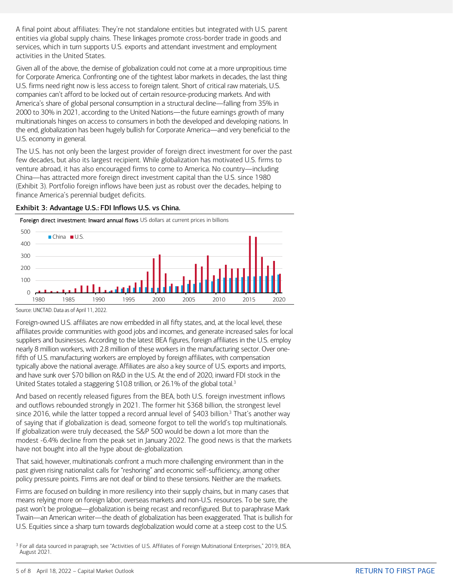A final point about affiliates: They're not standalone entities but integrated with U.S. parent entities via global supply chains. These linkages promote cross-border trade in goods and services, which in turn supports U.S. exports and attendant investment and employment activities in the United States.

Given all of the above, the demise of globalization could not come at a more unpropitious time for Corporate America. Confronting one of the tightest labor markets in decades, the last thing U.S. firms need right now is less access to foreign talent. Short of critical raw materials, U.S. companies can't afford to be locked out of certain resource-producing markets. And with America's share of global personal consumption in a structural decline—falling from 35% in 2000 to 30% in 2021, according to the United Nations—the future earnings growth of many multinationals hinges on access to consumers in both the developed and developing nations. In the end, globalization has been hugely bullish for Corporate America—and very beneficial to the U.S. economy in general.

The U.S. has not only been the largest provider of foreign direct investment for over the past few decades, but also its largest recipient. While globalization has motivated U.S. firms to venture abroad, it has also encouraged firms to come to America. No country—including China—has attracted more foreign direct investment capital than the U.S. since 1980 (Exhibit 3). Portfolio foreign inflows have been just as robust over the decades, helping to finance America's perennial budget deficits.

 $\overline{O}$ 100 200 300 400 500 1980 1985 1990 1995 2000 2005 2010 2015 2020  $China$   $|||$ Foreign direct investment: Inward annual flows US dollars at current prices in billions

Exhibit 3: Advantage U.S.: FDI Inflows U.S. vs China.

Source: UNCTAD. Data as of April 11, 2022.

Foreign-owned U.S. affiliates are now embedded in all fifty states, and, at the local level, these affiliates provide communities with good jobs and incomes, and generate increased sales for local suppliers and businesses. According to the latest BEA figures, foreign affiliates in the U.S. employ nearly 8 million workers, with 2.8 million of these workers in the manufacturing sector. Over onefifth of U.S. manufacturing workers are employed by foreign affiliates, with compensation typically above the national average. Affiliates are also a key source of U.S. exports and imports, and have sunk over \$70 billion on R&D in the U.S. At the end of 2020, inward FDI stock in the United States totaled a staggering \$10.8 trillion, or 26.1% of the global total.<sup>[3](#page-4-0)</sup>

And based on recently released figures from the BEA, both U.S. foreign investment inflows and outflows rebounded strongly in 2021. The former hit \$368 billion, the strongest level since 2016, while the latter topped a record annual level of \$403 billion.<sup>3</sup> That's another way of saying that if globalization is dead, someone forgot to tell the world's top multinationals. If globalization were truly deceased, the S&P 500 would be down a lot more than the modest -6.4% decline from the peak set in January 2022. The good news is that the markets have not bought into all the hype about de-globalization.

That said, however, multinationals confront a much more challenging environment than in the past given rising nationalist calls for "reshoring" and economic self-sufficiency, among other policy pressure points. Firms are not deaf or blind to these tensions. Neither are the markets.

Firms are focused on building in more resiliency into their supply chains, but in many cases that means relying more on foreign labor, overseas markets and non-U.S. resources. To be sure, the past won't be prologue—globalization is being recast and reconfigured. But to paraphrase Mark Twain—an American writer—the death of globalization has been exaggerated. That is bullish for U.S. Equities since a sharp turn towards deglobalization would come at a steep cost to the U.S.

<span id="page-4-0"></span><sup>3</sup> For all data sourced in paragraph, see "Activities of U.S. Affiliates of Foreign Multinational Enterprises," 2019, BEA, August 2021.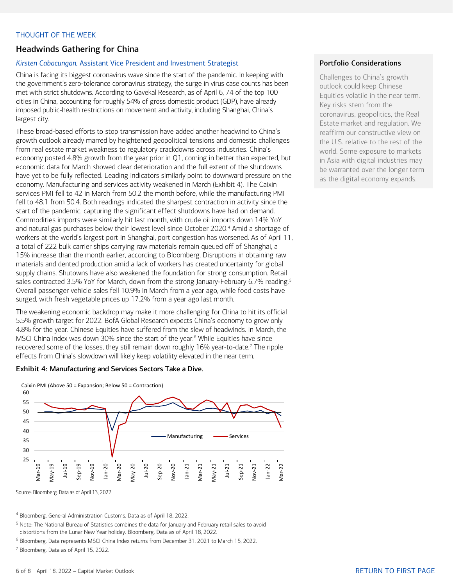## <span id="page-5-0"></span>THOUGHT OF THE WEEK

## Headwinds Gathering for China

### *Kirsten Cabacungan,* Assistant Vice President and Investment Strategist

China is facing its biggest coronavirus wave since the start of the pandemic. In keeping with the government's zero-tolerance coronavirus strategy, the surge in virus case counts has been met with strict shutdowns. According to Gavekal Research, as of April 6, 74 of the top 100 cities in China, accounting for roughly 54% of gross domestic product (GDP), have already imposed public-health restrictions on movement and activity, including Shanghai, China's largest city.

These broad-based efforts to stop transmission have added another headwind to China's growth outlook already marred by heightened geopolitical tensions and domestic challenges from real estate market weakness to regulatory crackdowns across industries. China's economy posted 4.8% growth from the year prior in Q1, coming in better than expected, but economic data for March showed clear deterioration and the full extent of the shutdowns have yet to be fully reflected. Leading indicators similarly point to downward pressure on the economy. Manufacturing and services activity weakened in March (Exhibit 4). The Caixin services PMI fell to 42 in March from 50.2 the month before, while the manufacturing PMI fell to 48.1 from 50.4. Both readings indicated the sharpest contraction in activity since the start of the pandemic, capturing the significant effect shutdowns have had on demand. Commodities imports were similarly hit last month, with crude oil imports down 14% YoY and natural gas purchases below their lowest level since October 2020.<sup>[4](#page-5-1)</sup> Amid a shortage of workers at the world's largest port in Shanghai, port congestion has worsened. As of April 11, a total of 222 bulk carrier ships carrying raw materials remain queued off of Shanghai, a 15% increase than the month earlier, according to Bloomberg. Disruptions in obtaining raw materials and dented production amid a lack of workers has created uncertainty for global supply chains. Shutowns have also weakened the foundation for strong consumption. Retail sales contracted 3.[5](#page-5-2)% YoY for March, down from the strong January-February 6.7% reading.<sup>5</sup> Overall passenger vehicle sales fell 10.9% in March from a year ago, while food costs have surged, with fresh vegetable prices up 17.2% from a year ago last month.

The weakening economic backdrop may make it more challenging for China to hit its official 5.5% growth target for 2022. BofA Global Research expects China's economy to grow only 4.8% for the year. Chinese Equities have suffered from the slew of headwinds. In March, the MSCI China Index was down 30% since the start of the year.<sup>[6](#page-5-3)</sup> While Equities have since recovered some of the losses, they still remain down roughly  $16\%$  year-to-date.<sup>[7](#page-5-4)</sup> The ripple effects from China's slowdown will likely keep volatility elevated in the near term.

#### Exhibit 4: Manufacturing and Services Sectors Take a Dive.



Source: Bloomberg. Data as of April 13, 2022.

<span id="page-5-1"></span><sup>4</sup> Bloomberg. General Administration Customs. Data as of April 18, 2022.

<span id="page-5-2"></span><sup>5</sup> Note: The National Bureau of Statistics combines the data for January and February retail sales to avoid distortions from the Lunar New Year holiday. Bloomberg. Data as of April 18, 2022.

<span id="page-5-3"></span><sup>6</sup> Bloomberg. Data represents MSCI China Index returns from December 31, 2021 to March 15, 2022.

<span id="page-5-4"></span><sup>7</sup> Bloomberg. Data as of April 15, 2022.

## Portfolio Considerations

Challenges to China's growth outlook could keep Chinese Equities volatile in the near term. Key risks stem from the coronavirus, geopolitics, the Real Estate market and regulation. We reaffirm our constructive view on the U.S. relative to the rest of the world. Some exposure to markets in Asia with digital industries may be warranted over the longer term as the digital economy expands.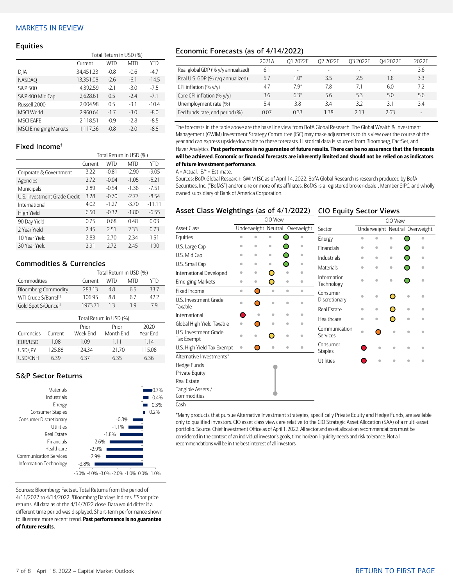#### <span id="page-6-0"></span>MARKETS IN REVIEW

#### **Equities**

|                              | Total Return in USD (%) |            |            |         |  |  |  |
|------------------------------|-------------------------|------------|------------|---------|--|--|--|
|                              | Current                 | <b>WTD</b> | <b>MTD</b> | YTD     |  |  |  |
| DJIA                         | 34,451.23               | $-0.8$     | $-0.6$     | $-4.7$  |  |  |  |
| <b>NASDAO</b>                | 13.351.08               | $-2.6$     | $-6.1$     | $-14.5$ |  |  |  |
| S&P 500                      | 4.392.59                | $-2.1$     | $-3.0$     | $-7.5$  |  |  |  |
| S&P 400 Mid Cap              | 2,628.61                | 0.5        | $-2.4$     | $-7.1$  |  |  |  |
| Russell 2000                 | 2.004.98                | 0.5        | $-3.1$     | $-10.4$ |  |  |  |
| <b>MSCI World</b>            | 2,960.64                | $-1.7$     | $-3.0$     | $-8.0$  |  |  |  |
| <b>MSCI EAFE</b>             | 2.118.51                | $-0.9$     | $-2.8$     | $-8.5$  |  |  |  |
| <b>MSCI Emerging Markets</b> | 1.117.36                | $-0.8$     | $-2.0$     | $-8.8$  |  |  |  |

#### Fixed Income†

|                              | Total Return in USD (%) |            |            |          |  |  |
|------------------------------|-------------------------|------------|------------|----------|--|--|
|                              | Current                 | <b>WTD</b> | <b>MTD</b> | YTD      |  |  |
| Corporate & Government       | 3.22                    | $-0.81$    | $-2.90$    | $-9.05$  |  |  |
| Agencies                     | 2.72                    | $-0.04$    | $-1.05$    | $-5.21$  |  |  |
| Municipals                   | 2.89                    | $-0.54$    | $-1.36$    | $-7.51$  |  |  |
| U.S. Investment Grade Credit | 3.28                    | $-0.70$    | $-2.77$    | $-8.54$  |  |  |
| International                | 4.02                    | $-1.27$    | $-3.70$    | $-11.11$ |  |  |
| High Yield                   | 6.50                    | $-0.32$    | $-1.80$    | $-6.55$  |  |  |
| 90 Day Yield                 | 0.75                    | 0.68       | 0.48       | 0.03     |  |  |
| 2 Year Yield                 | 2.45                    | 2.51       | 2.33       | 0.73     |  |  |
| 10 Year Yield                | 2.83                    | 2.70       | 2.34       | 1.51     |  |  |
| 30 Year Yield                | 291                     | 272        | 2.45       | 1.90     |  |  |

#### Commodities & Currencies

|                                   |         | Total Return in USD (%) |            |      |          |  |  |  |
|-----------------------------------|---------|-------------------------|------------|------|----------|--|--|--|
| Commodities                       |         | Current                 | WTD<br>MTD |      |          |  |  |  |
| <b>Bloomberg Commodity</b>        |         | 283.13                  | 4.8<br>6.5 |      |          |  |  |  |
| WTI Crude \$/Barrel <sup>++</sup> |         | 106.95                  | 8.8        | 42.2 |          |  |  |  |
| Gold Spot \$/Ounce <sup>tt</sup>  |         | 1973.71                 | 13         | 19   | 79       |  |  |  |
| Total Return in USD (%)           |         |                         |            |      |          |  |  |  |
|                                   |         | Prior                   | Prior      |      | 2020     |  |  |  |
| Currencies                        | Current | Week End                | Month Fnd  |      | Year End |  |  |  |

| Currencies | Current | Week Fnd | Month Fnd | Year End |
|------------|---------|----------|-----------|----------|
| FUR/USD    | 1 08    | 109      | 1 1 1     | 114      |
| USD/JPY    | 125.88  | 124 34   | 12170     | 115.08   |
| USD/CNH    | 639     | 637      | 635       | 636      |

## S&P Sector Returns



Sources: Bloomberg; Factset. Total Returns from the period of 4/11/2022 to 4/14/2022. † Bloomberg Barclays Indices. ††Spot price returns. All data as of the 4/14/2022 close. Data would differ if a different time period was displayed. Short-term performance shown to illustrate more recent trend. Past performance is no guarantee of future results.

## Economic Forecasts (as of 4/14/2022)

|                                    | 2021A | 01 2022F | O <sub>2</sub> 2022E | 03 2022F | 04 2022E                 | 2022F  |
|------------------------------------|-------|----------|----------------------|----------|--------------------------|--------|
| Real global GDP (% y/y annualized) | 6.1   |          |                      |          | $\overline{\phantom{a}}$ | 3.6    |
| Real U.S. GDP (% g/g annualized)   | 5.7   | $1.0*$   | 3.5                  | 25       | 1.8                      | 3.3    |
| CPI inflation $(\% \gamma/\gamma)$ | 4.7   | 79*      | 7.8                  | 7.1      | 6.0                      | 7.2    |
| Core CPI inflation (% y/y)         | 3.6   | $6.3*$   | 5.6                  | 53       | 5.0                      | 5.6    |
| Unemployment rate (%)              | 5.4   | 3.8      | 3.4                  | 32       | 31                       | 34     |
| Fed funds rate, end period (%)     | 0.07  | 033      | 1.38                 | 213      | 2.63                     | $\sim$ |

The forecasts in the table above are the base line view from BofA Global Research. The Global Wealth & Investment Management (GWIM) Investment Strategy Committee (ISC) may make adjustments to this view over the course of the year and can express upside/downside to these forecasts. Historical data is sourced from Bloomberg, FactSet, and Haver Analytics. Past performance is no guarantee of future results. There can be no assurance that the forecasts will be achieved. Economic or financial forecasts are inherently limited and should not be relied on as indicators of future investment performance.

#### $A =$  Actual.  $E/* =$  Estimate.

Sources: BofA Global Research; GWIM ISC as of April 14, 2022. BofA Global Research is research produced by BofA Securities, Inc. ("BofAS") and/or one or more of its affiliates. BofAS is a registered broker-dealer, Member SIPC, and wholly owned subsidiary of Bank of America Corporation.

#### Asset Class Weightings (as of 4/1/2022) CIO Equity Sector Views

|                                     |                     |           | CIO View  |                        |                            | CIO View                       |           |           |           |           |
|-------------------------------------|---------------------|-----------|-----------|------------------------|----------------------------|--------------------------------|-----------|-----------|-----------|-----------|
| <b>Asset Class</b>                  | Underweight Neutral |           |           | Overweight             | Sector                     | Underweight Neutral Overweight |           |           |           |           |
| Equities                            | ۰                   | $\bullet$ | $\bullet$ | Ω<br>$\bullet$         | Energy                     | $\triangleq$                   |           | ä         |           |           |
| U.S. Large Cap                      | ö                   | $\bullet$ | $\bullet$ | ∩<br>$\bullet$         | Financials                 | $\bullet$                      | $\bullet$ | ۰         |           | ۰         |
| U.S. Mid Cap                        | ۰                   | ۰         | $\bullet$ | ۰                      | Industrials                | $\bullet$                      | $\bullet$ | $\bullet$ |           | $\bullet$ |
| U.S. Small Cap                      | ۵                   | ۰         | ۰         | ∩                      | Materials                  | ò                              | ö         | $\bullet$ |           |           |
| International Developed             | ö                   | ۰         | Ο         | $\bullet$              |                            |                                |           |           |           |           |
| <b>Emerging Markets</b>             | ö                   | $\bullet$ | O         | $\bullet$              | Information<br>Technology  | ó                              | $\bullet$ | ۰         |           |           |
| Fixed Income                        | $\bullet$           | Ο         | $\bullet$ | $\bullet$<br>$\bullet$ | Consumer                   |                                |           |           |           |           |
| U.S. Investment Grade<br>Taxable    | á                   | ∍         | ö         | ۵                      | Discretionary              | $\triangleq$                   | $\bullet$ | Ω         | ۰         | ä         |
| International                       |                     | ۵         | ۰         | ó<br>۰                 | <b>Real Estate</b>         | ۰                              | ۰         | O         | ۰         |           |
|                                     |                     |           |           |                        | Healthcare                 | ö                              | ö         | O         | $\bullet$ |           |
| Global High Yield Taxable           | ö                   |           | ۰         | $\bullet$              | Communication              |                                |           |           |           |           |
| U.S. Investment Grade<br>Tax Exempt |                     |           | n         | ö                      | Services                   | $\bullet$                      |           | ó         |           |           |
| U.S. High Yield Tax Exempt          | $\bullet$           | O         | ö         | $\bullet$<br>٠         | Consumer<br><b>Staples</b> |                                | ۰         | ó         | ۵         |           |
| Alternative Investments*            |                     |           |           |                        | Utilities                  |                                | ۵         |           |           | ۵         |
| Hedge Funds                         |                     |           |           |                        |                            |                                |           |           |           |           |
| Private Equity                      |                     |           |           |                        |                            |                                |           |           |           |           |
| Real Estate                         |                     |           |           |                        |                            |                                |           |           |           |           |
| Tangible Assets /<br>Commodities    |                     |           |           |                        |                            |                                |           |           |           |           |
| Cash                                |                     |           |           |                        |                            |                                |           |           |           |           |

\*Many products that pursue Alternative Investment strategies, specifically Private Equity and Hedge Funds, are available only to qualified investors. CIO asset class views are relative to the CIO Strategic Asset Allocation (SAA) of a multi-asset portfolio. Source: Chief Investment Office as of April 1, 2022. All sector and asset allocation recommendations must be considered in the context of an individual investor's goals, time horizon, liquidity needs and risk tolerance. Not all recommendations will be in the best interest of all investors.